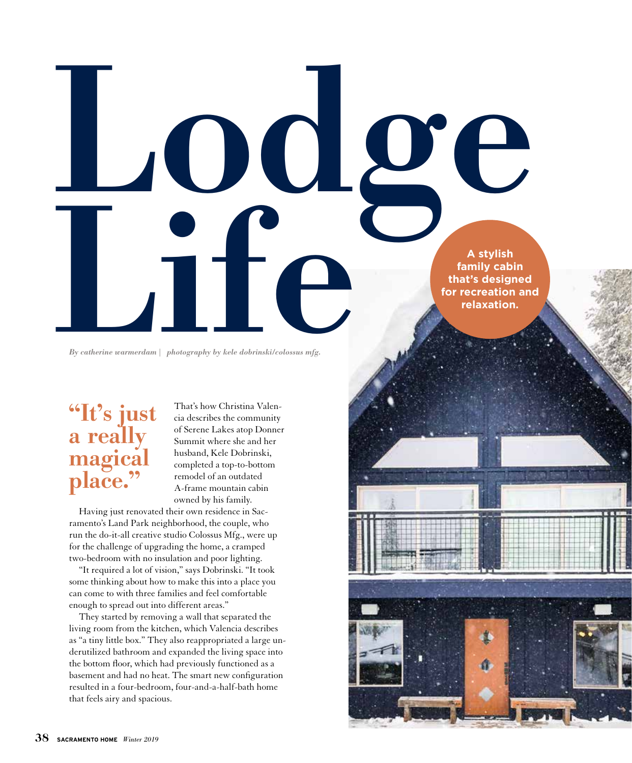A stylish family cabi<br>that's design<br>by catherine warmerdam photography by kele dobrinski/colossus mfg. **family cabin that's designed for recreation and relaxation.**

*By catherine warmerdam | photography by kele dobrinski/colossus mfg.*

## "It's just a really magical place."

That's how Christina Valencia describes the community of Serene Lakes atop Donner Summit where she and her husband, Kele Dobrinski, completed a top-to-bottom remodel of an outdated A-frame mountain cabin owned by his family.

Lodge

Having just renovated their own residence in Sacramento's Land Park neighborhood, the couple, who run the do-it-all creative studio Colossus Mfg., were up for the challenge of upgrading the home, a cramped two-bedroom with no insulation and poor lighting.

"It required a lot of vision," says Dobrinski. "It took some thinking about how to make this into a place you can come to with three families and feel comfortable enough to spread out into different areas."

They started by removing a wall that separated the living room from the kitchen, which Valencia describes as "a tiny little box." They also reappropriated a large underutilized bathroom and expanded the living space into the bottom floor, which had previously functioned as a basement and had no heat. The smart new configuration resulted in a four-bedroom, four-and-a-half-bath home that feels airy and spacious.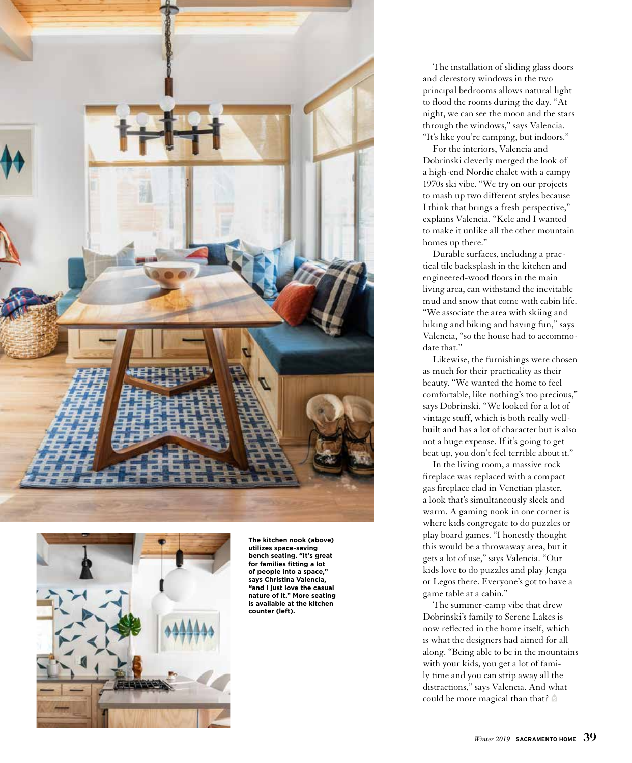



**The kitchen nook (above) utilizes space-saving bench seating. "It's great for families fitting a lot of people into a space," says Christina Valencia, "and I just love the casual nature of it." More seating is available at the kitchen counter (left).**

The installation of sliding glass doors and clerestory windows in the two principal bedrooms allows natural light to flood the rooms during the day. "At night, we can see the moon and the stars through the windows," says Valencia. "It's like you're camping, but indoors."

For the interiors, Valencia and Dobrinski cleverly merged the look of a high-end Nordic chalet with a campy 1970s ski vibe. "We try on our projects to mash up two different styles because I think that brings a fresh perspective," explains Valencia. "Kele and I wanted to make it unlike all the other mountain homes up there."

Durable surfaces, including a practical tile backsplash in the kitchen and engineered-wood floors in the main living area, can withstand the inevitable mud and snow that come with cabin life. "We associate the area with skiing and hiking and biking and having fun," says Valencia, "so the house had to accommodate that."

Likewise, the furnishings were chosen as much for their practicality as their beauty. "We wanted the home to feel comfortable, like nothing's too precious," says Dobrinski. "We looked for a lot of vintage stuff, which is both really wellbuilt and has a lot of character but is also not a huge expense. If it's going to get beat up, you don't feel terrible about it."

In the living room, a massive rock fireplace was replaced with a compact gas fireplace clad in Venetian plaster, a look that's simultaneously sleek and warm. A gaming nook in one corner is where kids congregate to do puzzles or play board games. "I honestly thought this would be a throwaway area, but it gets a lot of use," says Valencia. "Our kids love to do puzzles and play Jenga or Legos there. Everyone's got to have a game table at a cabin."

The summer-camp vibe that drew Dobrinski's family to Serene Lakes is now reflected in the home itself, which is what the designers had aimed for all along. "Being able to be in the mountains with your kids, you get a lot of family time and you can strip away all the distractions," says Valencia. And what could be more magical than that?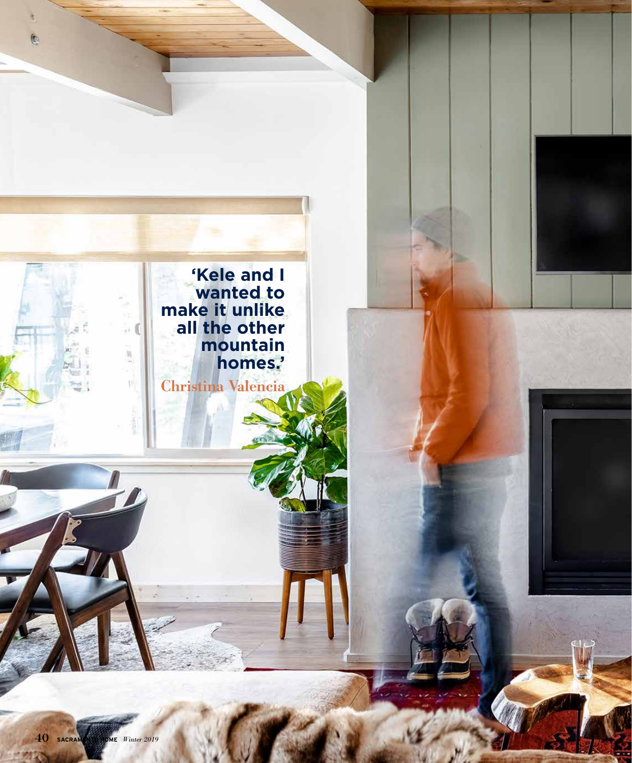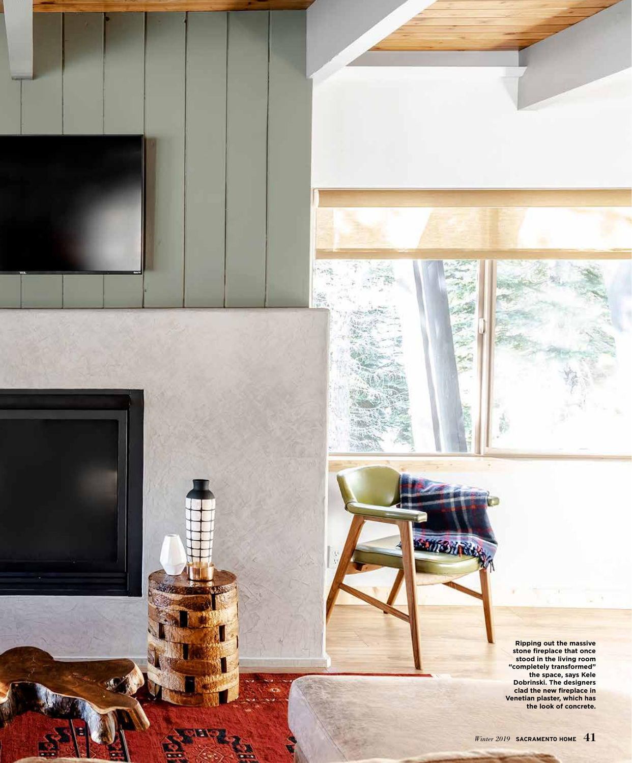

**SIMBHACK** 



**KAND** 



**Ripping out the massive stone fireplace that once stood in the living room "completely transformed" the space, says Kele Dobrinski. The designers clad the new fireplace in Venetian plaster, which has the look of concrete.**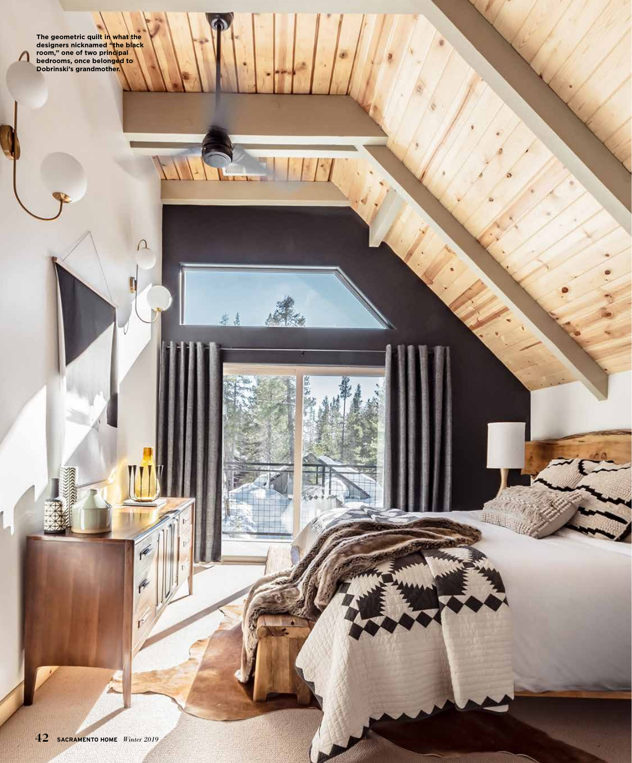**The geometric quilt in what the designers nicknamed "the black room," one of two principal bedrooms, once belonged to Dobrinski's grandmother.** 

 $\boldsymbol{\varcap}$ 

 $\epsilon$ 

 $\beta$ 

业长山

 $\sqrt{2}$